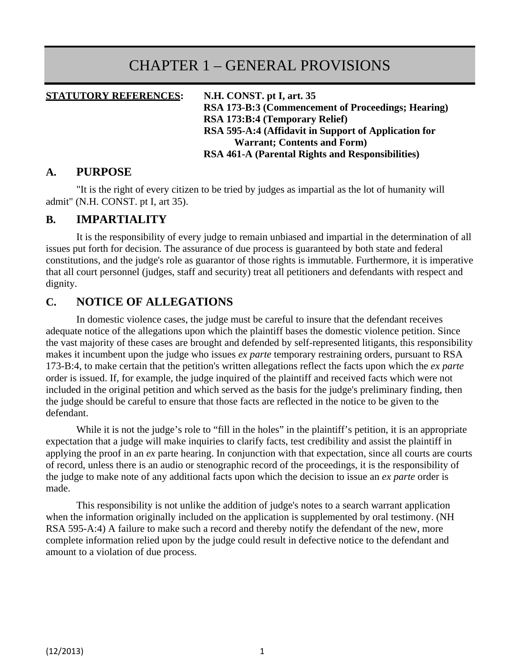# CHAPTER 1 – GENERAL PROVISIONS

#### **STATUTORY REFERENCES: N.H. CONST. pt I, art. 35**

**RSA 173-B:3 (Commencement of Proceedings; Hearing) RSA 173:B:4 (Temporary Relief) RSA 595-A:4 (Affidavit in Support of Application for Warrant; Contents and Form) RSA 461-A (Parental Rights and Responsibilities)**

#### **A. PURPOSE**

"It is the right of every citizen to be tried by judges as impartial as the lot of humanity will admit" (N.H. CONST. pt I, art 35).

#### **B. IMPARTIALITY**

It is the responsibility of every judge to remain unbiased and impartial in the determination of all issues put forth for decision. The assurance of due process is guaranteed by both state and federal constitutions, and the judge's role as guarantor of those rights is immutable. Furthermore, it is imperative that all court personnel (judges, staff and security) treat all petitioners and defendants with respect and dignity.

### **C. NOTICE OF ALLEGATIONS**

In domestic violence cases, the judge must be careful to insure that the defendant receives adequate notice of the allegations upon which the plaintiff bases the domestic violence petition. Since the vast majority of these cases are brought and defended by self-represented litigants, this responsibility makes it incumbent upon the judge who issues *ex parte* temporary restraining orders, pursuant to RSA 173-B:4, to make certain that the petition's written allegations reflect the facts upon which the *ex parte*  order is issued. If, for example, the judge inquired of the plaintiff and received facts which were not included in the original petition and which served as the basis for the judge's preliminary finding, then the judge should be careful to ensure that those facts are reflected in the notice to be given to the defendant.

While it is not the judge's role to "fill in the holes" in the plaintiff's petition, it is an appropriate expectation that a judge will make inquiries to clarify facts, test credibility and assist the plaintiff in applying the proof in an *ex* parte hearing. In conjunction with that expectation, since all courts are courts of record, unless there is an audio or stenographic record of the proceedings, it is the responsibility of the judge to make note of any additional facts upon which the decision to issue an *ex parte* order is made.

This responsibility is not unlike the addition of judge's notes to a search warrant application when the information originally included on the application is supplemented by oral testimony. (NH RSA 595-A:4) A failure to make such a record and thereby notify the defendant of the new, more complete information relied upon by the judge could result in defective notice to the defendant and amount to a violation of due process.